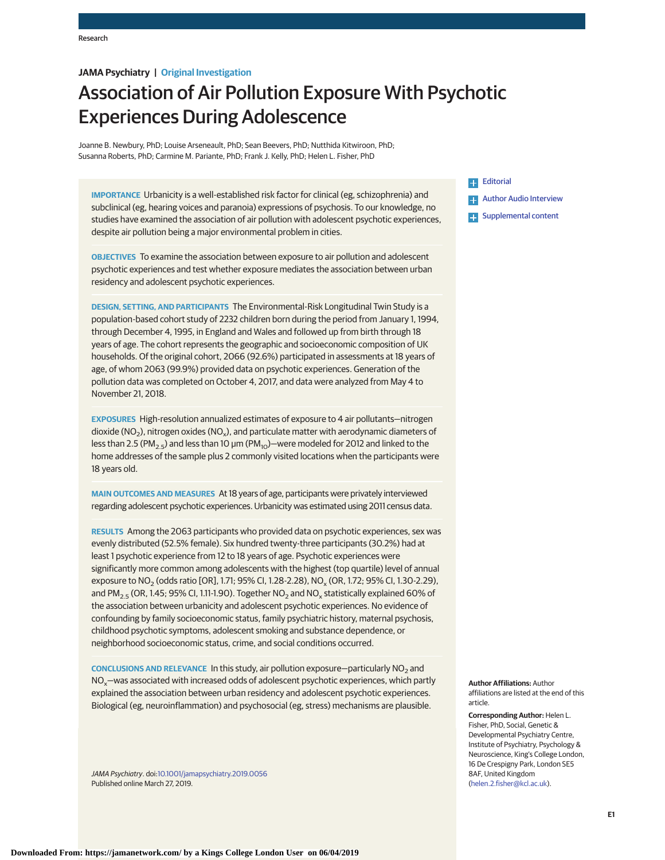# **JAMA Psychiatry | Original Investigation**

# Association of Air Pollution Exposure With Psychotic Experiences During Adolescence

Joanne B. Newbury, PhD; Louise Arseneault, PhD; Sean Beevers, PhD; Nutthida Kitwiroon, PhD; Susanna Roberts, PhD; Carmine M. Pariante, PhD; Frank J. Kelly, PhD; Helen L. Fisher, PhD

**IMPORTANCE** Urbanicity is a well-established risk factor for clinical (eg, schizophrenia) and subclinical (eg, hearing voices and paranoia) expressions of psychosis. To our knowledge, no studies have examined the association of air pollution with adolescent psychotic experiences, despite air pollution being a major environmental problem in cities.

**OBJECTIVES** To examine the association between exposure to air pollution and adolescent psychotic experiences and test whether exposure mediates the association between urban residency and adolescent psychotic experiences.

**DESIGN, SETTING, AND PARTICIPANTS** The Environmental-Risk Longitudinal Twin Study is a population-based cohort study of 2232 children born during the period from January 1, 1994, through December 4, 1995, in England and Wales and followed up from birth through 18 years of age. The cohort represents the geographic and socioeconomic composition of UK households. Of the original cohort, 2066 (92.6%) participated in assessments at 18 years of age, of whom 2063 (99.9%) provided data on psychotic experiences. Generation of the pollution data was completed on October 4, 2017, and data were analyzed from May 4 to November 21, 2018.

**EXPOSURES** High-resolution annualized estimates of exposure to 4 air pollutants—nitrogen dioxide ( $NO<sub>2</sub>$ ), nitrogen oxides ( $NO<sub>x</sub>$ ), and particulate matter with aerodynamic diameters of less than 2.5 (PM<sub>2.5</sub>) and less than 10  $\mu$ m (PM<sub>10</sub>)—were modeled for 2012 and linked to the home addresses of the sample plus 2 commonly visited locations when the participants were 18 years old.

**MAIN OUTCOMES AND MEASURES** At 18 years of age, participants were privately interviewed regarding adolescent psychotic experiences. Urbanicity was estimated using 2011 census data.

**RESULTS** Among the 2063 participants who provided data on psychotic experiences, sex was evenly distributed (52.5% female). Six hundred twenty-three participants (30.2%) had at least 1 psychotic experience from 12 to 18 years of age. Psychotic experiences were significantly more common among adolescents with the highest (top quartile) level of annual exposure to NO<sub>2</sub> (odds ratio [OR], 1.71; 95% CI, 1.28-2.28), NO<sub>2</sub> (OR, 1.72; 95% CI, 1.30-2.29), and PM<sub>2.5</sub> (OR, 1.45; 95% CI, 1.11-1.90). Together NO<sub>2</sub> and NO<sub>y</sub> statistically explained 60% of the association between urbanicity and adolescent psychotic experiences. No evidence of confounding by family socioeconomic status, family psychiatric history, maternal psychosis, childhood psychotic symptoms, adolescent smoking and substance dependence, or neighborhood socioeconomic status, crime, and social conditions occurred.

**CONCLUSIONS AND RELEVANCE** In this study, air pollution exposure—particularly NO<sub>2</sub> and  $NO<sub>x</sub>$  – was associated with increased odds of adolescent psychotic experiences, which partly explained the association between urban residency and adolescent psychotic experiences. Biological (eg, neuroinflammation) and psychosocial (eg, stress) mechanisms are plausible.

JAMA Psychiatry. doi[:10.1001/jamapsychiatry.2019.0056](https://jama.jamanetwork.com/article.aspx?doi=10.1001/jamapsychiatry.2019.0056&utm_campaign=articlePDF%26utm_medium=articlePDFlink%26utm_source=articlePDF%26utm_content=jamapsychiatry.2019.0056) Published online March 27, 2019.

# **[Editorial](https://jama.jamanetwork.com/article.aspx?doi=10.1001/jamapsychiatry.2019.0010&utm_campaign=articlePDF%26utm_medium=articlePDFlink%26utm_source=articlePDF%26utm_content=jamapsychiatry.2019.0056)** [Author Audio Interview](https://jamanetwork.com/learning/audio-player/10.1001/jamapsychiatry.2019.193/?utm_campaign=articlePDF%26utm_medium=articlePDFlink%26utm_source=articlePDF%26utm_content=jamapsychiatry.2019.0056) Æ. **Examplemental content**

**Author Affiliations:** Author affiliations are listed at the end of this article.

**Corresponding Author:** Helen L. Fisher, PhD, Social, Genetic & Developmental Psychiatry Centre, Institute of Psychiatry, Psychology & Neuroscience, King's College London, 16 De Crespigny Park, London SE5 8AF, United Kingdom [\(helen.2.fisher@kcl.ac.uk\)](mailto:helen.2.fisher@kcl.ac.uk).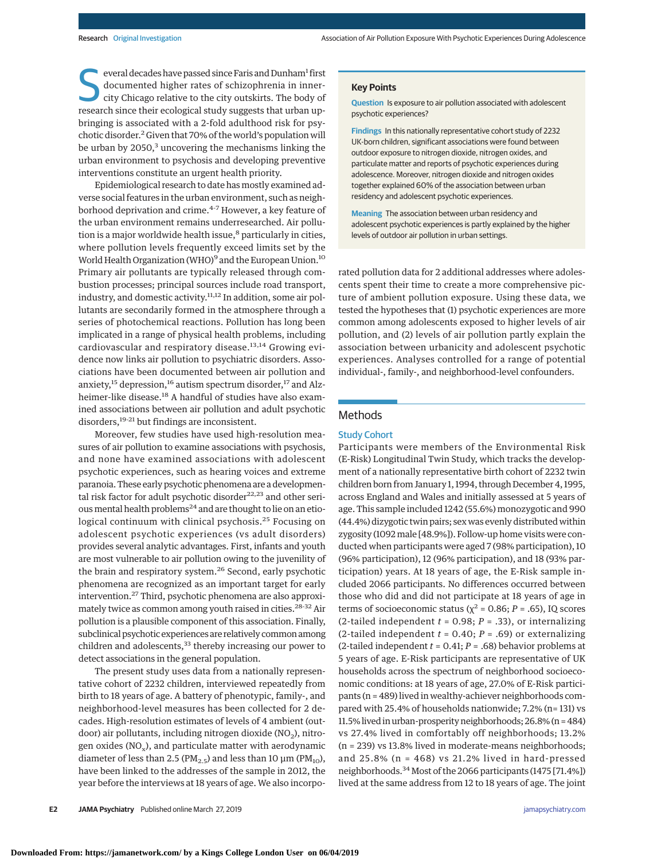everal decades have passed since Faris and Dunham<sup>1</sup> first documented higher rates of schizophrenia in innercity Chicago relative to the city outskirts. The body of research since their ecological study suggests that urban everal decades have passed since Faris and Dunham<sup>1</sup> first documented higher rates of schizophrenia in innercity Chicago relative to the city outskirts. The body of bringing is associated with a 2-fold adulthood risk for psychotic disorder.2 Given that 70% of the world's population will be urban by 2050,<sup>3</sup> uncovering the mechanisms linking the urban environment to psychosis and developing preventive interventions constitute an urgent health priority.

Epidemiological research to date has mostly examined adverse social features in the urban environment, such as neighborhood deprivation and crime.<sup>4-7</sup> However, a key feature of the urban environment remains underresearched. Air pollution is a major worldwide health issue,<sup>8</sup> particularly in cities, where pollution levels frequently exceed limits set by the World Health Organization (WHO)<sup>9</sup> and the European Union.<sup>10</sup> Primary air pollutants are typically released through combustion processes; principal sources include road transport, industry, and domestic activity.<sup>11,12</sup> In addition, some air pollutants are secondarily formed in the atmosphere through a series of photochemical reactions. Pollution has long been implicated in a range of physical health problems, including cardiovascular and respiratory disease.13,14 Growing evidence now links air pollution to psychiatric disorders. Associations have been documented between air pollution and anxiety,<sup>15</sup> depression,<sup>16</sup> autism spectrum disorder,<sup>17</sup> and Alzheimer-like disease.<sup>18</sup> A handful of studies have also examined associations between air pollution and adult psychotic disorders,19-21 but findings are inconsistent.

Moreover, few studies have used high-resolution measures of air pollution to examine associations with psychosis, and none have examined associations with adolescent psychotic experiences, such as hearing voices and extreme paranoia. These early psychotic phenomena are a developmental risk factor for adult psychotic disorder<sup>22,23</sup> and other serious mental health problems<sup>24</sup> and are thought to lie on an etiological continuum with clinical psychosis.<sup>25</sup> Focusing on adolescent psychotic experiences (vs adult disorders) provides several analytic advantages. First, infants and youth are most vulnerable to air pollution owing to the juvenility of the brain and respiratory system.<sup>26</sup> Second, early psychotic phenomena are recognized as an important target for early intervention.27 Third, psychotic phenomena are also approximately twice as common among youth raised in cities.28-32 Air pollution is a plausible component of this association. Finally, subclinical psychotic experiences are relatively common among children and adolescents,<sup>33</sup> thereby increasing our power to detect associations in the general population.

The present study uses data from a nationally representative cohort of 2232 children, interviewed repeatedly from birth to 18 years of age. A battery of phenotypic, family-, and neighborhood-level measures has been collected for 2 decades. High-resolution estimates of levels of 4 ambient (outdoor) air pollutants, including nitrogen dioxide  $(NO<sub>2</sub>)$ , nitrogen oxides ( $NO_x$ ), and particulate matter with aerodynamic diameter of less than 2.5 ( $PM<sub>2.5</sub>$ ) and less than 10  $\mu$ m ( $PM<sub>10</sub>$ ), have been linked to the addresses of the sample in 2012, the year before the interviews at 18 years of age. We also incorpo-

### **Key Points**

**Question** Is exposure to air pollution associated with adolescent psychotic experiences?

**Findings** In this nationally representative cohort study of 2232 UK-born children, significant associations were found between outdoor exposure to nitrogen dioxide, nitrogen oxides, and particulate matter and reports of psychotic experiences during adolescence. Moreover, nitrogen dioxide and nitrogen oxides together explained 60% of the association between urban residency and adolescent psychotic experiences.

**Meaning** The association between urban residency and adolescent psychotic experiences is partly explained by the higher levels of outdoor air pollution in urban settings.

rated pollution data for 2 additional addresses where adolescents spent their time to create a more comprehensive picture of ambient pollution exposure. Using these data, we tested the hypotheses that (1) psychotic experiences are more common among adolescents exposed to higher levels of air pollution, and (2) levels of air pollution partly explain the association between urbanicity and adolescent psychotic experiences. Analyses controlled for a range of potential individual-, family-, and neighborhood-level confounders.

### Methods

## Study Cohort

Participants were members of the Environmental Risk (E-Risk) Longitudinal Twin Study, which tracks the development of a nationally representative birth cohort of 2232 twin children born from January 1, 1994, through December 4, 1995, across England and Wales and initially assessed at 5 years of age. This sample included 1242 (55.6%) monozygotic and 990 (44.4%) dizygotic twin pairs; sex was evenly distributed within zygosity (1092male [48.9%]). Follow-up home visits were conducted when participants were aged 7 (98% participation), 10 (96% participation), 12 (96% participation), and 18 (93% participation) years. At 18 years of age, the E-Risk sample included 2066 participants. No differences occurred between those who did and did not participate at 18 years of age in terms of socioeconomic status ( $\chi^2$  = 0.86; *P* = .65), IQ scores (2-tailed independent *t* = 0.98; *P* = .33), or internalizing (2-tailed independent  $t = 0.40$ ;  $P = .69$ ) or externalizing (2-tailed independent *t* = 0.41; *P* = .68) behavior problems at 5 years of age. E-Risk participants are representative of UK households across the spectrum of neighborhood socioeconomic conditions: at 18 years of age, 27.0% of E-Risk participants (n = 489) lived in wealthy-achiever neighborhoods compared with 25.4% of households nationwide; 7.2% (n= 131) vs 11.5% lived in urban-prosperity neighborhoods; 26.8% (n = 484) vs 27.4% lived in comfortably off neighborhoods; 13.2% (n = 239) vs 13.8% lived in moderate-means neighborhoods; and 25.8% (n = 468) vs 21.2% lived in hard-pressed neighborhoods.<sup>34</sup> Most of the 2066 participants (1475 [71.4%]) lived at the same address from 12 to 18 years of age. The joint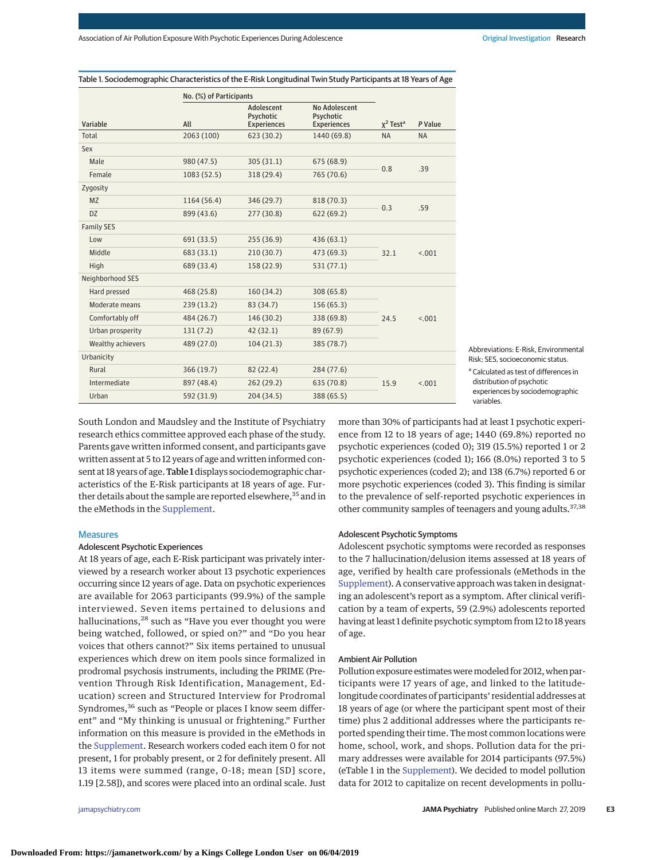| No. (%) of Participants<br>No Adolescent<br>Adolescent<br>Psychotic<br>Psychotic<br>$\chi^2$ Test <sup>a</sup><br>Variable<br>All<br>P Value<br><b>Experiences</b><br><b>Experiences</b><br>Total<br>2063 (100)<br>623 (30.2)<br>1440 (69.8)<br><b>NA</b><br><b>NA</b><br>Sex<br>Male<br>980(47.5)<br>305(31.1)<br>675 (68.9)<br>0.8<br>.39<br>Female<br>765 (70.6)<br>1083 (52.5)<br>318 (29.4)<br>Zygosity<br>1164 (56.4)<br>346 (29.7)<br>818 (70.3)<br><b>MZ</b><br>.59<br>0.3<br><b>DZ</b><br>899 (43.6)<br>277(30.8)<br>622(69.2)<br><b>Family SES</b><br>255(36.9)<br>691 (33.5)<br>436 (63.1)<br>Low<br>Middle<br>683 (33.1)<br>210(30.7)<br>473 (69.3)<br>32.1<br>< .001<br>High<br>689 (33.4)<br>158 (22.9)<br>531 (77.1)<br>Neighborhood SES<br>Hard pressed<br>468 (25.8)<br>160(34.2)<br>308 (65.8)<br>Moderate means<br>239(13.2)<br>83 (34.7)<br>156 (65.3)<br>Comfortably off<br>484 (26.7)<br>146(30.2)<br>338 (69.8)<br>24.5<br>< .001<br>Urban prosperity<br>131(7.2)<br>42(32.1)<br>89 (67.9)<br>Wealthy achievers<br>489 (27.0)<br>104(21.3)<br>385 (78.7)<br>Urbanicity<br>Rural<br>82 (22.4)<br>284 (77.6)<br>366(19.7)<br>Intermediate<br>897 (48.4)<br>262(29.2)<br>635 (70.8)<br>15.9<br>< .001<br>Urban<br>592 (31.9)<br>204 (34.5)<br>388 (65.5) |  |  |  |  |  |
|------------------------------------------------------------------------------------------------------------------------------------------------------------------------------------------------------------------------------------------------------------------------------------------------------------------------------------------------------------------------------------------------------------------------------------------------------------------------------------------------------------------------------------------------------------------------------------------------------------------------------------------------------------------------------------------------------------------------------------------------------------------------------------------------------------------------------------------------------------------------------------------------------------------------------------------------------------------------------------------------------------------------------------------------------------------------------------------------------------------------------------------------------------------------------------------------------------------------------------------------------------------------------|--|--|--|--|--|
|                                                                                                                                                                                                                                                                                                                                                                                                                                                                                                                                                                                                                                                                                                                                                                                                                                                                                                                                                                                                                                                                                                                                                                                                                                                                              |  |  |  |  |  |
|                                                                                                                                                                                                                                                                                                                                                                                                                                                                                                                                                                                                                                                                                                                                                                                                                                                                                                                                                                                                                                                                                                                                                                                                                                                                              |  |  |  |  |  |
|                                                                                                                                                                                                                                                                                                                                                                                                                                                                                                                                                                                                                                                                                                                                                                                                                                                                                                                                                                                                                                                                                                                                                                                                                                                                              |  |  |  |  |  |
|                                                                                                                                                                                                                                                                                                                                                                                                                                                                                                                                                                                                                                                                                                                                                                                                                                                                                                                                                                                                                                                                                                                                                                                                                                                                              |  |  |  |  |  |
|                                                                                                                                                                                                                                                                                                                                                                                                                                                                                                                                                                                                                                                                                                                                                                                                                                                                                                                                                                                                                                                                                                                                                                                                                                                                              |  |  |  |  |  |
|                                                                                                                                                                                                                                                                                                                                                                                                                                                                                                                                                                                                                                                                                                                                                                                                                                                                                                                                                                                                                                                                                                                                                                                                                                                                              |  |  |  |  |  |
|                                                                                                                                                                                                                                                                                                                                                                                                                                                                                                                                                                                                                                                                                                                                                                                                                                                                                                                                                                                                                                                                                                                                                                                                                                                                              |  |  |  |  |  |
|                                                                                                                                                                                                                                                                                                                                                                                                                                                                                                                                                                                                                                                                                                                                                                                                                                                                                                                                                                                                                                                                                                                                                                                                                                                                              |  |  |  |  |  |
|                                                                                                                                                                                                                                                                                                                                                                                                                                                                                                                                                                                                                                                                                                                                                                                                                                                                                                                                                                                                                                                                                                                                                                                                                                                                              |  |  |  |  |  |
|                                                                                                                                                                                                                                                                                                                                                                                                                                                                                                                                                                                                                                                                                                                                                                                                                                                                                                                                                                                                                                                                                                                                                                                                                                                                              |  |  |  |  |  |
|                                                                                                                                                                                                                                                                                                                                                                                                                                                                                                                                                                                                                                                                                                                                                                                                                                                                                                                                                                                                                                                                                                                                                                                                                                                                              |  |  |  |  |  |
|                                                                                                                                                                                                                                                                                                                                                                                                                                                                                                                                                                                                                                                                                                                                                                                                                                                                                                                                                                                                                                                                                                                                                                                                                                                                              |  |  |  |  |  |
|                                                                                                                                                                                                                                                                                                                                                                                                                                                                                                                                                                                                                                                                                                                                                                                                                                                                                                                                                                                                                                                                                                                                                                                                                                                                              |  |  |  |  |  |
|                                                                                                                                                                                                                                                                                                                                                                                                                                                                                                                                                                                                                                                                                                                                                                                                                                                                                                                                                                                                                                                                                                                                                                                                                                                                              |  |  |  |  |  |
|                                                                                                                                                                                                                                                                                                                                                                                                                                                                                                                                                                                                                                                                                                                                                                                                                                                                                                                                                                                                                                                                                                                                                                                                                                                                              |  |  |  |  |  |
|                                                                                                                                                                                                                                                                                                                                                                                                                                                                                                                                                                                                                                                                                                                                                                                                                                                                                                                                                                                                                                                                                                                                                                                                                                                                              |  |  |  |  |  |
|                                                                                                                                                                                                                                                                                                                                                                                                                                                                                                                                                                                                                                                                                                                                                                                                                                                                                                                                                                                                                                                                                                                                                                                                                                                                              |  |  |  |  |  |
|                                                                                                                                                                                                                                                                                                                                                                                                                                                                                                                                                                                                                                                                                                                                                                                                                                                                                                                                                                                                                                                                                                                                                                                                                                                                              |  |  |  |  |  |
|                                                                                                                                                                                                                                                                                                                                                                                                                                                                                                                                                                                                                                                                                                                                                                                                                                                                                                                                                                                                                                                                                                                                                                                                                                                                              |  |  |  |  |  |
|                                                                                                                                                                                                                                                                                                                                                                                                                                                                                                                                                                                                                                                                                                                                                                                                                                                                                                                                                                                                                                                                                                                                                                                                                                                                              |  |  |  |  |  |
|                                                                                                                                                                                                                                                                                                                                                                                                                                                                                                                                                                                                                                                                                                                                                                                                                                                                                                                                                                                                                                                                                                                                                                                                                                                                              |  |  |  |  |  |
|                                                                                                                                                                                                                                                                                                                                                                                                                                                                                                                                                                                                                                                                                                                                                                                                                                                                                                                                                                                                                                                                                                                                                                                                                                                                              |  |  |  |  |  |
|                                                                                                                                                                                                                                                                                                                                                                                                                                                                                                                                                                                                                                                                                                                                                                                                                                                                                                                                                                                                                                                                                                                                                                                                                                                                              |  |  |  |  |  |

Table 1. Sociodemographic Characteristics of the E-Risk Longitudinal Twin Study Participants at 18 Years of Age

Abbreviations: E-Risk, Environmental Risk; SES, socioeconomic status.

<sup>a</sup> Calculated as test of differences in distribution of psychotic experiences by sociodemographic variables.

South London and Maudsley and the Institute of Psychiatry research ethics committee approved each phase of the study. Parents gave written informed consent, and participants gave written assent at 5 to 12 years of age and written informed consent at 18 years of age. Table 1 displays sociodemographic characteristics of the E-Risk participants at 18 years of age. Further details about the sample are reported elsewhere,<sup>35</sup> and in the eMethods in the [Supplement.](https://jama.jamanetwork.com/article.aspx?doi=10.1001/jamapsychiatry.2019.0056&utm_campaign=articlePDF%26utm_medium=articlePDFlink%26utm_source=articlePDF%26utm_content=jamapsychiatry.2019.0056)

### **Measures**

### Adolescent Psychotic Experiences

At 18 years of age, each E-Risk participant was privately interviewed by a research worker about 13 psychotic experiences occurring since 12 years of age. Data on psychotic experiences are available for 2063 participants (99.9%) of the sample interviewed. Seven items pertained to delusions and hallucinations,<sup>28</sup> such as "Have you ever thought you were being watched, followed, or spied on?" and "Do you hear voices that others cannot?" Six items pertained to unusual experiences which drew on item pools since formalized in prodromal psychosis instruments, including the PRIME (Prevention Through Risk Identification, Management, Education) screen and Structured Interview for Prodromal Syndromes,<sup>36</sup> such as "People or places I know seem different" and "My thinking is unusual or frightening." Further information on this measure is provided in the eMethods in the [Supplement.](https://jama.jamanetwork.com/article.aspx?doi=10.1001/jamapsychiatry.2019.0056&utm_campaign=articlePDF%26utm_medium=articlePDFlink%26utm_source=articlePDF%26utm_content=jamapsychiatry.2019.0056) Research workers coded each item 0 for not present, 1 for probably present, or 2 for definitely present. All 13 items were summed (range, 0-18; mean [SD] score, 1.19 [2.58]), and scores were placed into an ordinal scale. Just

more than 30% of participants had at least 1 psychotic experience from 12 to 18 years of age; 1440 (69.8%) reported no psychotic experiences (coded 0); 319 (15.5%) reported 1 or 2 psychotic experiences (coded 1); 166 (8.0%) reported 3 to 5 psychotic experiences (coded 2); and 138 (6.7%) reported 6 or more psychotic experiences (coded 3). This finding is similar to the prevalence of self-reported psychotic experiences in other community samples of teenagers and young adults.<sup>37,38</sup>

### Adolescent Psychotic Symptoms

Adolescent psychotic symptoms were recorded as responses to the 7 hallucination/delusion items assessed at 18 years of age, verified by health care professionals (eMethods in the [Supplement\)](https://jama.jamanetwork.com/article.aspx?doi=10.1001/jamapsychiatry.2019.0056&utm_campaign=articlePDF%26utm_medium=articlePDFlink%26utm_source=articlePDF%26utm_content=jamapsychiatry.2019.0056). A conservative approach was taken in designating an adolescent's report as a symptom. After clinical verification by a team of experts, 59 (2.9%) adolescents reported having at least 1 definite psychotic symptom from 12 to 18 years of age.

### Ambient Air Pollution

Pollution exposure estimates were modeled for 2012, when participants were 17 years of age, and linked to the latitudelongitude coordinates of participants' residential addresses at 18 years of age (or where the participant spent most of their time) plus 2 additional addresses where the participants reported spending their time. The most common locations were home, school, work, and shops. Pollution data for the primary addresses were available for 2014 participants (97.5%) (eTable 1 in the [Supplement\)](https://jama.jamanetwork.com/article.aspx?doi=10.1001/jamapsychiatry.2019.0056&utm_campaign=articlePDF%26utm_medium=articlePDFlink%26utm_source=articlePDF%26utm_content=jamapsychiatry.2019.0056). We decided to model pollution data for 2012 to capitalize on recent developments in pollu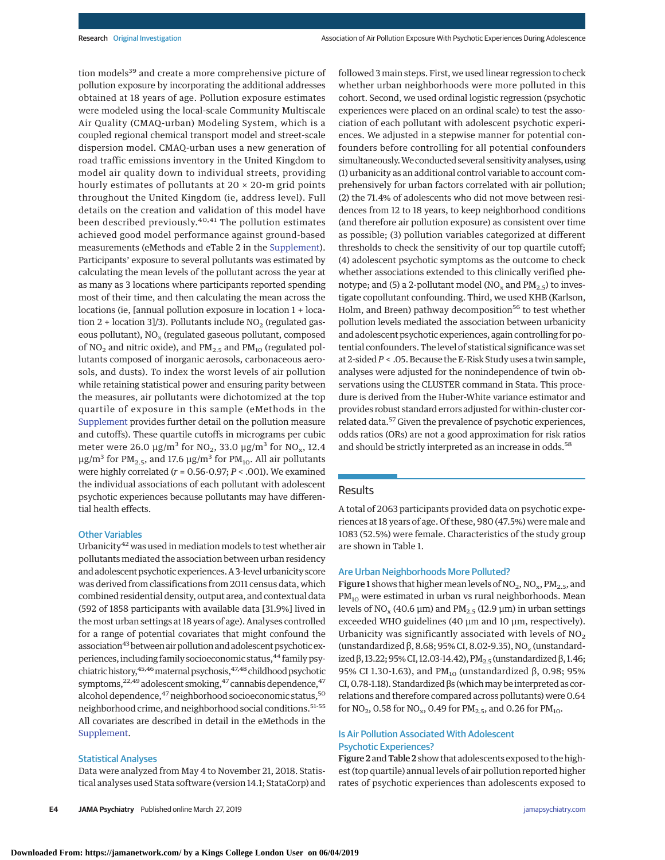tion models<sup>39</sup> and create a more comprehensive picture of pollution exposure by incorporating the additional addresses obtained at 18 years of age. Pollution exposure estimates were modeled using the local-scale Community Multiscale Air Quality (CMAQ-urban) Modeling System, which is a coupled regional chemical transport model and street-scale dispersion model. CMAQ-urban uses a new generation of road traffic emissions inventory in the United Kingdom to model air quality down to individual streets, providing hourly estimates of pollutants at  $20 \times 20$ -m grid points throughout the United Kingdom (ie, address level). Full details on the creation and validation of this model have been described previously.<sup>40,41</sup> The pollution estimates achieved good model performance against ground-based measurements (eMethods and eTable 2 in the [Supplement\)](https://jama.jamanetwork.com/article.aspx?doi=10.1001/jamapsychiatry.2019.0056&utm_campaign=articlePDF%26utm_medium=articlePDFlink%26utm_source=articlePDF%26utm_content=jamapsychiatry.2019.0056). Participants' exposure to several pollutants was estimated by calculating the mean levels of the pollutant across the year at as many as 3 locations where participants reported spending most of their time, and then calculating the mean across the locations (ie, [annual pollution exposure in location 1 + location 2 + location 3]/3). Pollutants include  $NO<sub>2</sub>$  (regulated gaseous pollutant),  $NO<sub>x</sub>$  (regulated gaseous pollutant, composed of  $NO<sub>2</sub>$  and nitric oxide), and  $PM<sub>2.5</sub>$  and  $PM<sub>10</sub>$  (regulated pollutants composed of inorganic aerosols, carbonaceous aerosols, and dusts). To index the worst levels of air pollution while retaining statistical power and ensuring parity between the measures, air pollutants were dichotomized at the top quartile of exposure in this sample (eMethods in the [Supplement](https://jama.jamanetwork.com/article.aspx?doi=10.1001/jamapsychiatry.2019.0056&utm_campaign=articlePDF%26utm_medium=articlePDFlink%26utm_source=articlePDF%26utm_content=jamapsychiatry.2019.0056) provides further detail on the pollution measure and cutoffs). These quartile cutoffs in micrograms per cubic meter were 26.0  $\mu$ g/m<sup>3</sup> for NO<sub>2</sub>, 33.0  $\mu$ g/m<sup>3</sup> for NO<sub>x</sub>, 12.4 μg/m<sup>3</sup> for PM<sub>2.5</sub>, and 17.6 μg/m<sup>3</sup> for PM<sub>10</sub>. All air pollutants were highly correlated (*r* = 0.56-0.97; *P* < .001). We examined the individual associations of each pollutant with adolescent psychotic experiences because pollutants may have differential health effects.

#### Other Variables

Urbanicity<sup>42</sup> was used in mediation models to test whether air pollutants mediated the association between urban residency and adolescent psychotic experiences. A 3-level urbanicity score was derived from classifications from 2011 census data, which combined residential density, output area, and contextual data (592 of 1858 participants with available data [31.9%] lived in the most urban settings at 18 years of age). Analyses controlled for a range of potential covariates that might confound the association<sup>43</sup> between air pollution and adolescent psychotic experiences, including family socioeconomic status, <sup>44</sup> family psychiatric history, 45,46 maternal psychosis, 47,48 childhood psychotic symptoms, $22,49$  adolescent smoking, $47$  cannabis dependence,  $47$ alcohol dependence, <sup>47</sup> neighborhood socioeconomic status, <sup>50</sup> neighborhood crime, and neighborhood social conditions.51-55 All covariates are described in detail in the eMethods in the [Supplement.](https://jama.jamanetwork.com/article.aspx?doi=10.1001/jamapsychiatry.2019.0056&utm_campaign=articlePDF%26utm_medium=articlePDFlink%26utm_source=articlePDF%26utm_content=jamapsychiatry.2019.0056)

### Statistical Analyses

Data were analyzed from May 4 to November 21, 2018. Statistical analyses used Stata software (version 14.1; StataCorp) and

**E4 JAMA Psychiatry** Published online March 27, 2019 **(Reprinted)** [jamapsychiatry.com](http://www.jamapsychiatry.com/?utm_campaign=articlePDF%26utm_medium=articlePDFlink%26utm_source=articlePDF%26utm_content=jamapsychiatry.2019.0056)

followed 3 main steps. First, we used linear regression to check whether urban neighborhoods were more polluted in this cohort. Second, we used ordinal logistic regression (psychotic experiences were placed on an ordinal scale) to test the association of each pollutant with adolescent psychotic experiences. We adjusted in a stepwise manner for potential confounders before controlling for all potential confounders simultaneously. We conducted several sensitivity analyses, using (1) urbanicity as an additional control variable to account comprehensively for urban factors correlated with air pollution; (2) the 71.4% of adolescents who did not move between residences from 12 to 18 years, to keep neighborhood conditions (and therefore air pollution exposure) as consistent over time as possible; (3) pollution variables categorized at different thresholds to check the sensitivity of our top quartile cutoff; (4) adolescent psychotic symptoms as the outcome to check whether associations extended to this clinically verified phenotype; and (5) a 2-pollutant model ( $NO<sub>x</sub>$  and  $PM<sub>2.5</sub>$ ) to investigate copollutant confounding. Third, we used KHB (Karlson, Holm, and Breen) pathway decomposition<sup>56</sup> to test whether pollution levels mediated the association between urbanicity and adolescent psychotic experiences, again controlling for potential confounders. The level of statistical significance was set at 2-sided*P* < .05. Because the E-Risk Study uses a twin sample, analyses were adjusted for the nonindependence of twin observations using the CLUSTER command in Stata. This procedure is derived from the Huber-White variance estimator and provides robust standard errors adjusted for within-cluster correlated data.57 Given the prevalence of psychotic experiences, odds ratios (ORs) are not a good approximation for risk ratios and should be strictly interpreted as an increase in odds.<sup>58</sup>

## **Results**

A total of 2063 participants provided data on psychotic experiences at 18 years of age. Of these, 980 (47.5%) were male and 1083 (52.5%) were female. Characteristics of the study group are shown in Table 1.

### Are Urban Neighborhoods More Polluted?

**Figure 1** shows that higher mean levels of  $NO_2$ ,  $NO_x$ ,  $PM_{2.5}$ , and PM<sub>10</sub> were estimated in urban vs rural neighborhoods. Mean levels of NO<sub>x</sub> (40.6 μm) and PM<sub>2.5</sub> (12.9 μm) in urban settings exceeded WHO guidelines (40 μm and 10 μm, respectively). Urbanicity was significantly associated with levels of  $NO<sub>2</sub>$ (unstandardized  $\beta$ , 8.68; 95% CI, 8.02-9.35), NO<sub>x</sub> (unstandardized β, 13.22; 95% CI, 12.03-14.42), PM<sub>2.5</sub> (unstandardized β, 1.46; 95% CI 1.30-1.63), and PM<sub>10</sub> (unstandardized β, 0.98; 95% CI, 0.78-1.18). Standardized  $βs$  (which may be interpreted as correlations and therefore compared across pollutants) were 0.64 for  $NO_2$ , 0.58 for  $NO_x$ , 0.49 for  $PM_{2.5}$ , and 0.26 for  $PM_{10}$ .

# Is Air Pollution Associated With Adolescent Psychotic Experiences?

Figure 2 and Table 2 show that adolescents exposed to the highest (top quartile) annual levels of air pollution reported higher rates of psychotic experiences than adolescents exposed to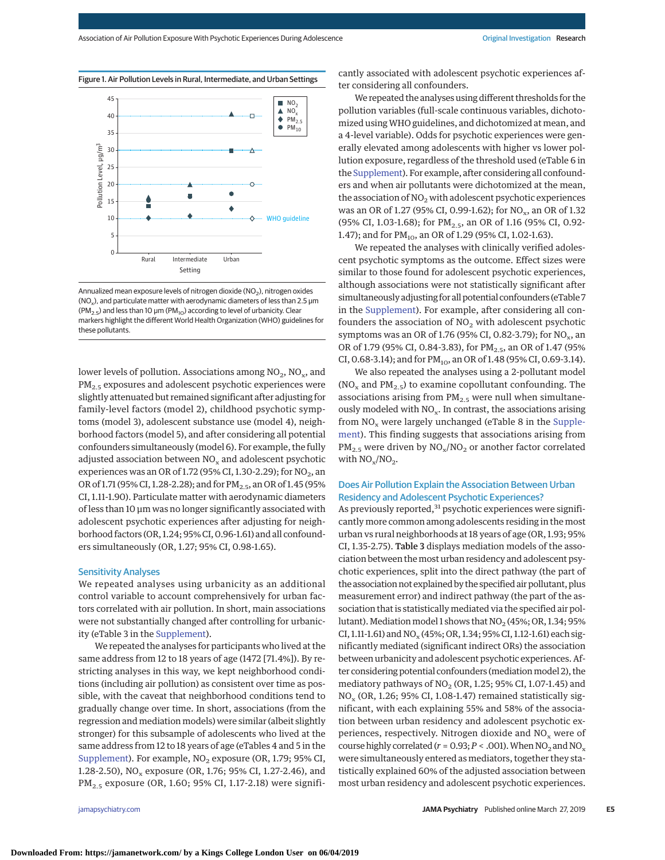

### Figure 1. Air Pollution Levels in Rural, Intermediate, and Urban Settings



lower levels of pollution. Associations among  $NO_2$ ,  $NO_x$ , and PM<sub>2.5</sub> exposures and adolescent psychotic experiences were slightly attenuated but remained significant after adjusting for family-level factors (model 2), childhood psychotic symptoms (model 3), adolescent substance use (model 4), neighborhood factors (model 5), and after considering all potential confounders simultaneously (model 6). For example, the fully adjusted association between  $NO<sub>x</sub>$  and adolescent psychotic experiences was an OR of 1.72 (95% CI, 1.30-2.29); for  $NO<sub>2</sub>$ , an OR of 1.71 (95% CI, 1.28-2.28); and for  $PM_{2.5}$ , an OR of 1.45 (95% CI, 1.11-1.90). Particulate matter with aerodynamic diameters of less than 10 μm was no longer significantly associated with adolescent psychotic experiences after adjusting for neighborhood factors (OR, 1.24; 95% CI, 0.96-1.61) and all confounders simultaneously (OR, 1.27; 95% CI, 0.98-1.65).

### Sensitivity Analyses

We repeated analyses using urbanicity as an additional control variable to account comprehensively for urban factors correlated with air pollution. In short, main associations were not substantially changed after controlling for urbanicity (eTable 3 in the [Supplement\)](https://jama.jamanetwork.com/article.aspx?doi=10.1001/jamapsychiatry.2019.0056&utm_campaign=articlePDF%26utm_medium=articlePDFlink%26utm_source=articlePDF%26utm_content=jamapsychiatry.2019.0056).

We repeated the analyses for participants who lived at the same address from 12 to 18 years of age (1472 [71.4%]). By restricting analyses in this way, we kept neighborhood conditions (including air pollution) as consistent over time as possible, with the caveat that neighborhood conditions tend to gradually change over time. In short, associations (from the regression and mediation models) were similar (albeit slightly stronger) for this subsample of adolescents who lived at the same address from 12 to 18 years of age (eTables 4 and 5 in the [Supplement\)](https://jama.jamanetwork.com/article.aspx?doi=10.1001/jamapsychiatry.2019.0056&utm_campaign=articlePDF%26utm_medium=articlePDFlink%26utm_source=articlePDF%26utm_content=jamapsychiatry.2019.0056). For example, NO<sub>2</sub> exposure (OR, 1.79; 95% CI, 1.28-2.50),  $NO_x$  exposure (OR, 1.76; 95% CI, 1.27-2.46), and PM2.5 exposure (OR, 1.60; 95% CI, 1.17-2.18) were signifi-

cantly associated with adolescent psychotic experiences after considering all confounders.

We repeated the analyses using different thresholds for the pollution variables (full-scale continuous variables, dichotomized usingWHO guidelines, and dichotomized at mean, and a 4-level variable). Odds for psychotic experiences were generally elevated among adolescents with higher vs lower pollution exposure, regardless of the threshold used (eTable 6 in the [Supplement\)](https://jama.jamanetwork.com/article.aspx?doi=10.1001/jamapsychiatry.2019.0056&utm_campaign=articlePDF%26utm_medium=articlePDFlink%26utm_source=articlePDF%26utm_content=jamapsychiatry.2019.0056). For example, after considering all confounders and when air pollutants were dichotomized at the mean, the association of  $NO<sub>2</sub>$  with adolescent psychotic experiences was an OR of 1.27 (95% CI, 0.99-1.62); for NO<sub>x</sub>, an OR of 1.32 (95% CI, 1.03-1.68); for PM<sub>2.5</sub>, an OR of 1.16 (95% CI, 0.92-1.47); and for  $PM_{10}$ , an OR of 1.29 (95% CI, 1.02-1.63).

We repeated the analyses with clinically verified adolescent psychotic symptoms as the outcome. Effect sizes were similar to those found for adolescent psychotic experiences, although associations were not statistically significant after simultaneously adjusting for all potential confounders (eTable 7 in the [Supplement\)](https://jama.jamanetwork.com/article.aspx?doi=10.1001/jamapsychiatry.2019.0056&utm_campaign=articlePDF%26utm_medium=articlePDFlink%26utm_source=articlePDF%26utm_content=jamapsychiatry.2019.0056). For example, after considering all confounders the association of  $NO<sub>2</sub>$  with adolescent psychotic symptoms was an OR of 1.76 (95% CI, 0.82-3.79); for  $NO_x$ , an OR of 1.79 (95% CI, 0.84-3.83), for PM<sub>2.5</sub>, an OR of 1.47 (95% CI, 0.68-3.14); and for  $PM_{10}$ , an OR of 1.48 (95% CI, 0.69-3.14).

We also repeated the analyses using a 2-pollutant model (NO<sub>x</sub> and PM<sub>2.5</sub>) to examine copollutant confounding. The associations arising from  $PM_{2.5}$  were null when simultaneously modeled with  $NO<sub>x</sub>$ . In contrast, the associations arising from  $NO<sub>x</sub>$  were largely unchanged (eTable 8 in the [Supple](https://jama.jamanetwork.com/article.aspx?doi=10.1001/jamapsychiatry.2019.0056&utm_campaign=articlePDF%26utm_medium=articlePDFlink%26utm_source=articlePDF%26utm_content=jamapsychiatry.2019.0056)[ment\)](https://jama.jamanetwork.com/article.aspx?doi=10.1001/jamapsychiatry.2019.0056&utm_campaign=articlePDF%26utm_medium=articlePDFlink%26utm_source=articlePDF%26utm_content=jamapsychiatry.2019.0056). This finding suggests that associations arising from  $PM_{2.5}$  were driven by  $NO_x/NO_2$  or another factor correlated with  $NO_x/NO_2$ .

# Does Air Pollution Explain the Association Between Urban Residency and Adolescent Psychotic Experiences?

As previously reported,<sup>31</sup> psychotic experiences were significantly more common among adolescents residing in the most urban vs rural neighborhoods at 18 years of age (OR, 1.93; 95% CI, 1.35-2.75). Table 3 displays mediation models of the association between themost urban residency and adolescent psychotic experiences, split into the direct pathway (the part of the association not explained by the specified air pollutant, plus measurement error) and indirect pathway (the part of the association that is statistically mediated via the specified air pollutant). Mediation model 1 shows that  $NO<sub>2</sub>$  (45%; OR, 1.34; 95% CI, 1.11-1.61) and  $NO_x(45\%; OR, 1.34; 95\% CI, 1.12-1.61)$  each significantly mediated (significant indirect ORs) the association between urbanicity and adolescent psychotic experiences. After considering potential confounders (mediation model 2), the mediatory pathways of  $NO<sub>2</sub>$  (OR, 1.25; 95% CI, 1.07-1.45) and  $NO<sub>x</sub>$  (OR, 1.26; 95% CI, 1.08-1.47) remained statistically significant, with each explaining 55% and 58% of the association between urban residency and adolescent psychotic experiences, respectively. Nitrogen dioxide and  $NO<sub>x</sub>$  were of course highly correlated ( $r = 0.93; P < .001$ ). When NO<sub>2</sub> and NO<sub>x</sub> were simultaneously entered as mediators, together they statistically explained 60% of the adjusted association between most urban residency and adolescent psychotic experiences.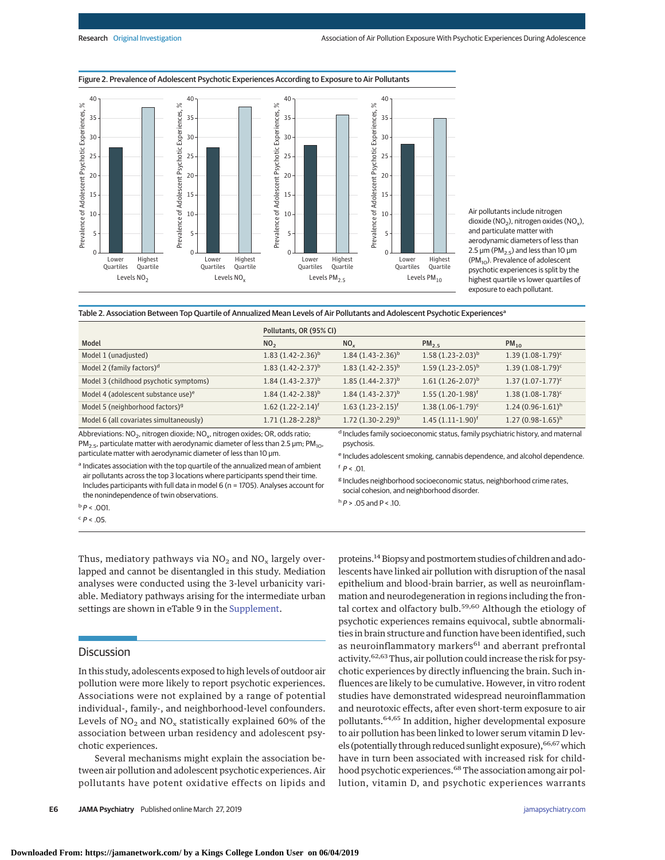

Air pollutants include nitrogen dioxide (NO<sub>2</sub>), nitrogen oxides (NO<sub>x</sub>), and particulate matter with aerodynamic diameters of less than 2.5 μm ( $PM<sub>2.5</sub>$ ) and less than 10 μm (PM<sub>10</sub>). Prevalence of adolescent psychotic experiences is split by the highest quartile vs lower quartiles of exposure to each pollutant.

Table 2. Association Between Top Quartile of Annualized Mean Levels of Air Pollutants and Adolescent Psychotic Experiences<sup>a</sup>

|                                                                                                                                                                                                              | Pollutants, OR (95% CI) |                                                                                                           |                        |                       |  |
|--------------------------------------------------------------------------------------------------------------------------------------------------------------------------------------------------------------|-------------------------|-----------------------------------------------------------------------------------------------------------|------------------------|-----------------------|--|
| Model                                                                                                                                                                                                        | NO <sub>2</sub>         | NO <sub>v</sub>                                                                                           | PM <sub>2.5</sub>      | $PM_{10}$             |  |
| Model 1 (unadjusted)                                                                                                                                                                                         | $1.83(1.42-2.36)^{b}$   | $1.84(1.43-2.36)^{b}$                                                                                     | $1.58(1.23-2.03)^{b}$  | $1.39(1.08-1.79)^c$   |  |
| Model 2 (family factors) <sup>d</sup>                                                                                                                                                                        | $1.83(1.42 - 2.37)^{b}$ | $1.83(1.42 - 2.35)^{b}$                                                                                   | $1.59(1.23-2.05)^{b}$  | $1.39(1.08-1.79)^c$   |  |
| Model 3 (childhood psychotic symptoms)                                                                                                                                                                       | $1.84(1.43-2.37)^{b}$   | $1.85(1.44 - 2.37)^{b}$                                                                                   | $1.61 (1.26 - 2.07)^b$ | $1.37(1.07 - 1.77)^c$ |  |
| Model 4 (adolescent substance use) <sup>e</sup>                                                                                                                                                              | $1.84(1.42 - 2.38)^{b}$ | $1.84(1.43-2.37)^{b}$                                                                                     | $1.55(1.20-1.98)^f$    | $1.38(1.08-1.78)^c$   |  |
| Model 5 (neighborhood factors) <sup>9</sup>                                                                                                                                                                  | $1.62 (1.22 - 2.14)^f$  | $1.63(1.23-2.15)^f$                                                                                       | $1.38(1.06-1.79)^c$    | $1.24(0.96-1.61)^h$   |  |
| Model 6 (all covariates simultaneously)                                                                                                                                                                      | $1.71(1.28-2.28)^{b}$   | $1.72(1.30-2.29)^{b}$                                                                                     | $1.45(1.11-1.90)^f$    | $1.27(0.98-1.65)^h$   |  |
| Abbreviations: NO <sub>2</sub> , nitrogen dioxide; NO <sub>x</sub> , nitrogen oxides; OR, odds ratio;<br>$PM_2$ s, particulate matter with aerodynamic diameter of less than 2.5 $\mu$ m; PM <sub>10</sub> , |                         | <sup>d</sup> Includes family socioeconomic status, family psychiatric history, and maternal<br>psychosis. |                        |                       |  |

 $PM<sub>2.5</sub>$ , particulate matter with aerodynamic diameter of less than 2.5  $\mu$ m; PM<sub>10</sub>, particulate matter with aerodynamic diameter of less than 10 μm.

<sup>a</sup> Indicates association with the top quartile of the annualized mean of ambient air pollutants across the top 3 locations where participants spend their time. Includes participants with full data in model 6 (n = 1705). Analyses account for the nonindependence of twin observations.

<sup>e</sup> Includes adolescent smoking, cannabis dependence, and alcohol dependence.  $f$   $P$  < 01

<sup>g</sup> Includes neighborhood socioeconomic status, neighborhood crime rates, social cohesion, and neighborhood disorder.

 $h \, P$  > .05 and P < .10.

 $b$   $P$  < .001.  $c$   $P < .05$ .

Thus, mediatory pathways via  $NO<sub>2</sub>$  and  $NO<sub>x</sub>$  largely overlapped and cannot be disentangled in this study. Mediation analyses were conducted using the 3-level urbanicity variable. Mediatory pathways arising for the intermediate urban settings are shown in eTable 9 in the [Supplement.](https://jama.jamanetwork.com/article.aspx?doi=10.1001/jamapsychiatry.2019.0056&utm_campaign=articlePDF%26utm_medium=articlePDFlink%26utm_source=articlePDF%26utm_content=jamapsychiatry.2019.0056)

## **Discussion**

In this study, adolescents exposed to high levels of outdoor air pollution were more likely to report psychotic experiences. Associations were not explained by a range of potential individual-, family-, and neighborhood-level confounders. Levels of  $NO<sub>2</sub>$  and  $NO<sub>x</sub>$  statistically explained 60% of the association between urban residency and adolescent psychotic experiences.

Several mechanisms might explain the association between air pollution and adolescent psychotic experiences. Air pollutants have potent oxidative effects on lipids and

**E6 JAMA Psychiatry** Published online March 27, 2019 **(Reprinted)** [jamapsychiatry.com](http://www.jamapsychiatry.com/?utm_campaign=articlePDF%26utm_medium=articlePDFlink%26utm_source=articlePDF%26utm_content=jamapsychiatry.2019.0056)

proteins.<sup>14</sup> Biopsy and postmortem studies of children and adolescents have linked air pollution with disruption of the nasal epithelium and blood-brain barrier, as well as neuroinflammation and neurodegeneration in regions including the frontal cortex and olfactory bulb.<sup>59,60</sup> Although the etiology of psychotic experiences remains equivocal, subtle abnormalities in brain structure and function have been identified, such as neuroinflammatory markers<sup>61</sup> and aberrant prefrontal activity.<sup>62,63</sup> Thus, air pollution could increase the risk for psychotic experiences by directly influencing the brain. Such influences are likely to be cumulative. However, in vitro rodent studies have demonstrated widespread neuroinflammation and neurotoxic effects, after even short-term exposure to air pollutants.64,65 In addition, higher developmental exposure to air pollution has been linked to lower serum vitamin D levels (potentially through reduced sunlight exposure), <sup>66,67</sup> which have in turn been associated with increased risk for childhood psychotic experiences.<sup>68</sup> The association among air pollution, vitamin D, and psychotic experiences warrants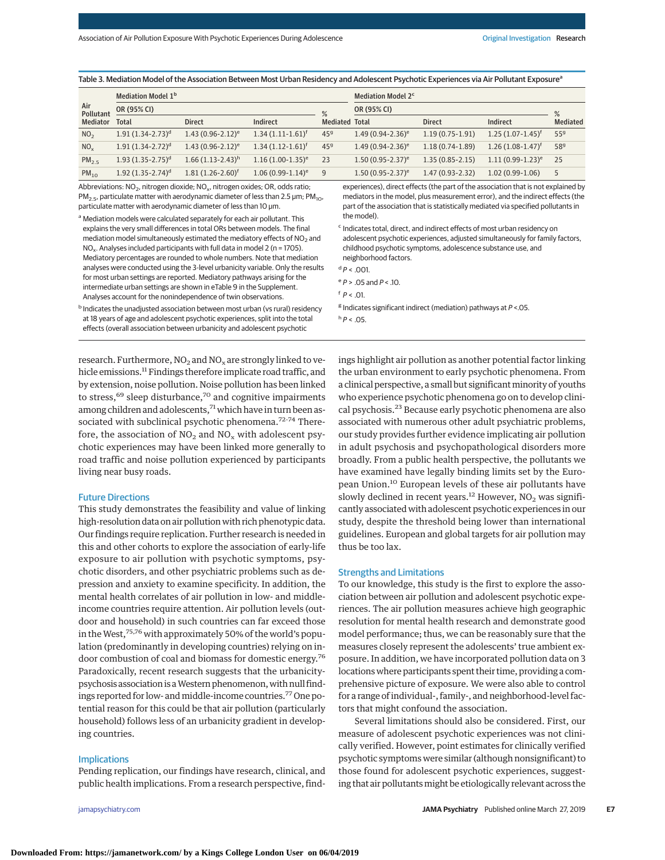Table 3. Mediation Model of the Association Between Most Urban Residency and Adolescent Psychotic Experiences via Air Pollutant Exposure<sup>a</sup>

|                   | Mediation Model 1 <sup>b</sup> |                                  |                       | Mediation Model 2 <sup>c</sup> |                       |                     |                       |                 |
|-------------------|--------------------------------|----------------------------------|-----------------------|--------------------------------|-----------------------|---------------------|-----------------------|-----------------|
| Air<br>Pollutant  | OR (95% CI)                    |                                  |                       | $\frac{9}{6}$                  | OR (95% CI)           |                     |                       | $\frac{9}{6}$   |
| <b>Mediator</b>   | Total                          | <b>Direct</b>                    | Indirect              | <b>Mediated Total</b>          |                       | <b>Direct</b>       | Indirect              | <b>Mediated</b> |
| NO <sub>2</sub>   | $1.91(1.34 - 2.73)^d$          | $1.43(0.96 - 2.12)^e$            | $1.34(1.11-1.61)^t$   | 45 <sup>9</sup>                | $1.49(0.94 - 2.36)^e$ | $1.19(0.75-1.91)$   | $1.25(1.07-1.45)^{f}$ | 55 <sup>9</sup> |
| NO <sub>x</sub>   | $1.91(1.34-2.72)^d$            | $1.43(0.96 - 2.12)^e$            | $1.34(1.12 - 1.61)^f$ | 45 <sup>9</sup>                | $1.49(0.94 - 2.36)^e$ | $1.18(0.74-1.89)$   | $1.26(1.08-1.47)^t$   | 589             |
| PM <sub>2.5</sub> | $1.93(1.35-2.75)^d$            | $1.66(1.13 - 2.43)$ <sup>h</sup> | $1.16(1.00-1.35)^e$   | 23                             | $1.50(0.95 - 2.37)^e$ | $1.35(0.85 - 2.15)$ | $1.11(0.99-1.23)^e$   | 25              |
| $PM_{10}$         | $1.92(1.35 - 2.74)^d$          | $1.81(1.26 - 2.60)^t$            | $1.06(0.99-1.14)^e$   | 9                              | $1.50(0.95 - 2.37)^e$ | $1.47(0.93-2.32)$   | $1.02(0.99-1.06)$     | 5               |

Abbreviations:  $NO<sub>2</sub>$ , nitrogen dioxide;  $NO<sub>x</sub>$ , nitrogen oxides; OR, odds ratio; PM<sub>2.5</sub>, particulate matter with aerodynamic diameter of less than 2.5  $\mu$ m; PM<sub>10</sub>, particulate matter with aerodynamic diameter of less than 10 μm.

a Mediation models were calculated separately for each air pollutant. This explains the very small differences in total ORs between models. The final mediation model simultaneously estimated the mediatory effects of NO<sub>2</sub> and NO<sub>x</sub>. Analyses included participants with full data in model 2 (n = 1705). Mediatory percentages are rounded to whole numbers. Note that mediation analyses were conducted using the 3-level urbanicity variable. Only the results for most urban settings are reported. Mediatory pathways arising for the intermediate urban settings are shown in eTable 9 in the Supplement. Analyses account for the nonindependence of twin observations.

**b** Indicates the unadjusted association between most urban (vs rural) residency at 18 years of age and adolescent psychotic experiences, split into the total effects (overall association between urbanicity and adolescent psychotic

experiences), direct effects (the part of the association that is not explained by mediators in the model, plus measurement error), and the indirect effects (the part of the association that is statistically mediated via specified pollutants in the model).

<sup>c</sup> Indicates total, direct, and indirect effects of most urban residency on adolescent psychotic experiences, adjusted simultaneously for family factors, childhood psychotic symptoms, adolescence substance use, and neighborhood factors.

 $dP < .001$ .

 $e^e P$  > .05 and  $P$  < .10.

 $f$   $P$  < .01.

 $8$  Indicates significant indirect (mediation) pathways at  $P$  <.05.  $h$  P < .05.

research. Furthermore,  $NO<sub>2</sub>$  and  $NO<sub>x</sub>$  are strongly linked to vehicle emissions.<sup>11</sup> Findings therefore implicate road traffic, and by extension, noise pollution. Noise pollution has been linked to stress,<sup>69</sup> sleep disturbance,<sup>70</sup> and cognitive impairments among children and adolescents,<sup>71</sup> which have in turn been associated with subclinical psychotic phenomena.<sup>72-74</sup> Therefore, the association of  $NO<sub>2</sub>$  and  $NO<sub>x</sub>$  with adolescent psychotic experiences may have been linked more generally to road traffic and noise pollution experienced by participants living near busy roads.

#### Future Directions

This study demonstrates the feasibility and value of linking high-resolution data on air pollution with rich phenotypic data. Our findings require replication. Further research is needed in this and other cohorts to explore the association of early-life exposure to air pollution with psychotic symptoms, psychotic disorders, and other psychiatric problems such as depression and anxiety to examine specificity. In addition, the mental health correlates of air pollution in low- and middleincome countries require attention. Air pollution levels (outdoor and household) in such countries can far exceed those in the West,<sup>75,76</sup> with approximately 50% of the world's population (predominantly in developing countries) relying on indoor combustion of coal and biomass for domestic energy.<sup>76</sup> Paradoxically, recent research suggests that the urbanicitypsychosis association is a Western phenomenon, with null findings reported for low- and middle-income countries.<sup>77</sup> One potential reason for this could be that air pollution (particularly household) follows less of an urbanicity gradient in developing countries.

### Implications

Pending replication, our findings have research, clinical, and public health implications. From a research perspective, find-

ings highlight air pollution as another potential factor linking the urban environment to early psychotic phenomena. From a clinical perspective, a small but significant minority of youths who experience psychotic phenomena go on to develop clinical psychosis.<sup>23</sup> Because early psychotic phenomena are also associated with numerous other adult psychiatric problems, our study provides further evidence implicating air pollution in adult psychosis and psychopathological disorders more broadly. From a public health perspective, the pollutants we have examined have legally binding limits set by the European Union.<sup>10</sup> European levels of these air pollutants have slowly declined in recent years.<sup>12</sup> However,  $NO<sub>2</sub>$  was significantly associated with adolescent psychotic experiences in our study, despite the threshold being lower than international guidelines. European and global targets for air pollution may thus be too lax.

#### Strengths and Limitations

To our knowledge, this study is the first to explore the association between air pollution and adolescent psychotic experiences. The air pollution measures achieve high geographic resolution for mental health research and demonstrate good model performance; thus, we can be reasonably sure that the measures closely represent the adolescents' true ambient exposure. In addition, we have incorporated pollution data on 3 locations where participants spent their time, providing a comprehensive picture of exposure. We were also able to control for a range of individual-, family-, and neighborhood-level factors that might confound the association.

Several limitations should also be considered. First, our measure of adolescent psychotic experiences was not clinically verified. However, point estimates for clinically verified psychotic symptoms were similar (although nonsignificant) to those found for adolescent psychotic experiences, suggesting that air pollutants might be etiologically relevant across the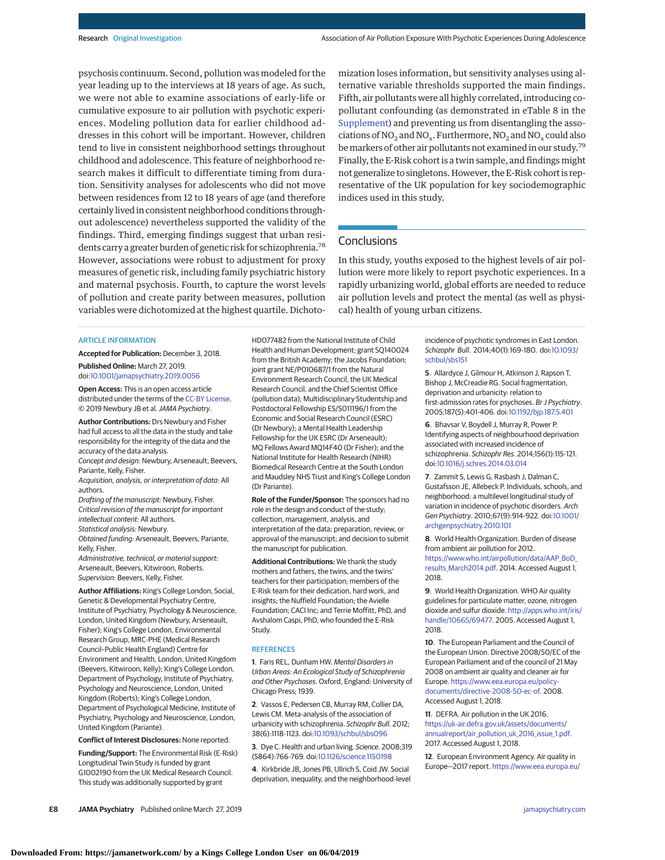psychosis continuum. Second, pollution was modeled for the year leading up to the interviews at 18 years of age. As such, we were not able to examine associations of early-life or cumulative exposure to air pollution with psychotic experiences. Modeling pollution data for earlier childhood addresses in this cohort will be important. However, children tend to live in consistent neighborhood settings throughout childhood and adolescence. This feature of neighborhood research makes it difficult to differentiate timing from duration. Sensitivity analyses for adolescents who did not move between residences from 12 to 18 years of age (and therefore certainly lived in consistent neighborhood conditions throughout adolescence) nevertheless supported the validity of the findings. Third, emerging findings suggest that urban residents carry a greater burden of genetic risk for schizophrenia.78 However, associations were robust to adjustment for proxy measures of genetic risk, including family psychiatric history and maternal psychosis. Fourth, to capture the worst levels of pollution and create parity between measures, pollution variables were dichotomized at the highest quartile. Dichotomization loses information, but sensitivity analyses using alternative variable thresholds supported the main findings. Fifth, air pollutants were all highly correlated, introducing copollutant confounding (as demonstrated in eTable 8 in the [Supplement\)](https://jama.jamanetwork.com/article.aspx?doi=10.1001/jamapsychiatry.2019.0056&utm_campaign=articlePDF%26utm_medium=articlePDFlink%26utm_source=articlePDF%26utm_content=jamapsychiatry.2019.0056) and preventing us from disentangling the associations of  $NO_2$  and  $NO_x$ . Furthermore,  $NO_2$  and  $NO_x$  could also be markers of other air pollutants not examined in our study.<sup>79</sup> Finally, the E-Risk cohort is a twin sample, and findings might not generalize to singletons. However, the E-Risk cohort is representative of the UK population for key sociodemographic indices used in this study.

# **Conclusions**

In this study, youths exposed to the highest levels of air pollution were more likely to report psychotic experiences. In a rapidly urbanizing world, global efforts are needed to reduce air pollution levels and protect the mental (as well as physical) health of young urban citizens.

### ARTICLE INFORMATION

**Accepted for Publication:** December 3, 2018. **Published Online:** March 27, 2019.

doi[:10.1001/jamapsychiatry.2019.0056](https://jama.jamanetwork.com/article.aspx?doi=10.1001/jamapsychiatry.2019.0056&utm_campaign=articlePDF%26utm_medium=articlePDFlink%26utm_source=articlePDF%26utm_content=jamapsychiatry.2019.0056)

**Open Access:** This is an open access article distributed under the terms of the [CC-BY License.](https://jamanetwork.com/journals/jamapsychiatry/pages/instructions-for-authors/?utm_campaign=articlePDF%26utm_medium=articlePDFlink%26utm_source=articlePDF%26utm_content=jamapsychiatry.2019.0056#SecOpenAccess) © 2019 Newbury JB et al.JAMA Psychiatry.

**Author Contributions:** Drs Newbury and Fisher had full access to all the data in the study and take responsibility for the integrity of the data and the accuracy of the data analysis.

Concept and design: Newbury, Arseneault, Beevers, Pariante, Kelly, Fisher.

Acquisition, analysis, or interpretation of data: All authors.

Drafting of the manuscript: Newbury, Fisher. Critical revision of the manuscript for important intellectual content: All authors.

Statistical analysis: Newbury.

Obtained funding: Arseneault, Beevers, Pariante, Kelly, Fisher.

Administrative, technical, or material support: Arseneault, Beevers, Kitwiroon, Roberts. Supervision: Beevers, Kelly, Fisher.

**Author Affiliations:** King's College London, Social, Genetic & Developmental Psychiatry Centre, Institute of Psychiatry, Psychology & Neuroscience, London, United Kingdom (Newbury, Arseneault, Fisher); King's College London, Environmental Research Group, MRC-PHE (Medical Research Council–Public Health England) Centre for Environment and Health, London, United Kingdom (Beevers, Kitwiroon, Kelly); King's College London, Department of Psychology, Institute of Psychiatry, Psychology and Neuroscience, London, United Kingdom (Roberts); King's College London, Department of Psychological Medicine, Institute of Psychiatry, Psychology and Neuroscience, London, United Kingdom (Pariante).

**Conflict of Interest Disclosures:** None reported.

**Funding/Support:** The Environmental Risk (E-Risk) Longitudinal Twin Study is funded by grant G1002190 from the UK Medical Research Council. This study was additionally supported by grant

HD077482 from the National Institute of Child Health and Human Development; grant SQ140024 from the British Academy; the Jacobs Foundation; joint grant NE/P010687/1 from the Natural Environment Research Council, the UK Medical Research Council, and the Chief Scientist Office (pollution data); Multidisciplinary Studentship and Postdoctoral Fellowship ES/S011196/1 from the Economic and Social Research Council (ESRC) (Dr Newbury); a Mental Health Leadership Fellowship for the UK ESRC (Dr Arseneault); MQ Fellows Award MQ14F40 (Dr Fisher); and the National Institute for Health Research (NIHR) Biomedical Research Centre at the South London and Maudsley NHS Trust and King's College London (Dr Pariante).

**Role of the Funder/Sponsor:** The sponsors had no role in the design and conduct of the study; collection, management, analysis, and interpretation of the data; preparation, review, or approval of the manuscript; and decision to submit the manuscript for publication.

**Additional Contributions:** We thank the study mothers and fathers, the twins, and the twins' teachers for their participation; members of the E-Risk team for their dedication, hard work, and insights; the Nuffield Foundation; the Avielle Foundation; CACI Inc; and Terrie Moffitt, PhD, and Avshalom Caspi, PhD, who founded the E-Risk Study.

#### **REFERENCES**

**1**. Faris REL, Dunham HW. Mental Disorders in Urban Areas: An Ecological Study of Schizophrenia and Other Psychoses. Oxford, England: University of Chicago Press; 1939.

**2**. Vassos E, Pedersen CB, Murray RM, Collier DA, Lewis CM. Meta-analysis of the association of urbanicity with schizophrenia. Schizophr Bull. 2012; 38(6):1118-1123. doi[:10.1093/schbul/sbs096](https://dx.doi.org/10.1093/schbul/sbs096)

**3**. Dye C. Health and urban living. Science. 2008;319 (5864):766-769. doi[:10.1126/science.1150198](https://dx.doi.org/10.1126/science.1150198)

**4**. Kirkbride JB, Jones PB, Ullrich S, Coid JW. Social deprivation, inequality, and the neighborhood-level

incidence of psychotic syndromes in East London. Schizophr Bull. 2014;40(1):169-180. doi[:10.1093/](https://dx.doi.org/10.1093/schbul/sbs151) [schbul/sbs151](https://dx.doi.org/10.1093/schbul/sbs151)

**5**. Allardyce J, Gilmour H, Atkinson J, Rapson T, Bishop J, McCreadie RG. Social fragmentation, deprivation and urbanicity: relation to first-admission rates for psychoses. Br J Psychiatry. 2005;187(5):401-406. doi[:10.1192/bjp.187.5.401](https://dx.doi.org/10.1192/bjp.187.5.401)

**6**. Bhavsar V, Boydell J, Murray R, Power P. Identifying aspects of neighbourhood deprivation associated with increased incidence of schizophrenia. Schizophr Res. 2014;156(1):115-121. doi[:10.1016/j.schres.2014.03.014](https://dx.doi.org/10.1016/j.schres.2014.03.014)

**7**. Zammit S, Lewis G, Rasbash J, Dalman C, Gustafsson JE, Allebeck P. Individuals, schools, and neighborhood: a multilevel longitudinal study of variation in incidence of psychotic disorders. Arch Gen Psychiatry. 2010;67(9):914-922. doi[:10.1001/](https://jama.jamanetwork.com/article.aspx?doi=10.1001/archgenpsychiatry.2010.101&utm_campaign=articlePDF%26utm_medium=articlePDFlink%26utm_source=articlePDF%26utm_content=jamapsychiatry.2019.0056) [archgenpsychiatry.2010.101](https://jama.jamanetwork.com/article.aspx?doi=10.1001/archgenpsychiatry.2010.101&utm_campaign=articlePDF%26utm_medium=articlePDFlink%26utm_source=articlePDF%26utm_content=jamapsychiatry.2019.0056)

**8**. World Health Organization. Burden of disease from ambient air pollution for 2012. [https://www.who.int/airpollution/data/AAP\\_BoD\\_](https://www.who.int/airpollution/data/AAP_BoD_results_March2014.pdf) [results\\_March2014.pdf.](https://www.who.int/airpollution/data/AAP_BoD_results_March2014.pdf) 2014. Accessed August 1, 2018.

**9**. World Health Organization. WHO Air quality guidelines for particulate matter, ozone, nitrogen dioxide and sulfur dioxide. [http://apps.who.int/iris/](http://apps.who.int/iris/handle/10665/69477) [handle/10665/69477.](http://apps.who.int/iris/handle/10665/69477) 2005. Accessed August 1, 2018.

**10**. The European Parliament and the Council of the European Union. Directive 2008/50/EC of the European Parliament and of the council of 21 May 2008 on ambient air quality and cleaner air for Europe. [https://www.eea.europa.eu/policy](https://www.eea.europa.eu/policy-documents/directive-2008-50-ec-of)[documents/directive-2008-50-ec-of.](https://www.eea.europa.eu/policy-documents/directive-2008-50-ec-of) 2008. Accessed August 1, 2018.

**11**. DEFRA. Air pollution in the UK 2016. [https://uk-air.defra.gov.uk/assets/documents/](https://uk-air.defra.gov.uk/assets/documents/annualreport/air_pollution_uk_2016_issue_1.pdf) [annualreport/air\\_pollution\\_uk\\_2016\\_issue\\_1.pdf.](https://uk-air.defra.gov.uk/assets/documents/annualreport/air_pollution_uk_2016_issue_1.pdf) 2017. Accessed August 1, 2018.

**12**. European Environment Agency. Air quality in Europe—2017 report. [https://www.eea.europa.eu/](https://www.eea.europa.eu/publications/air-quality-in-europe-2017)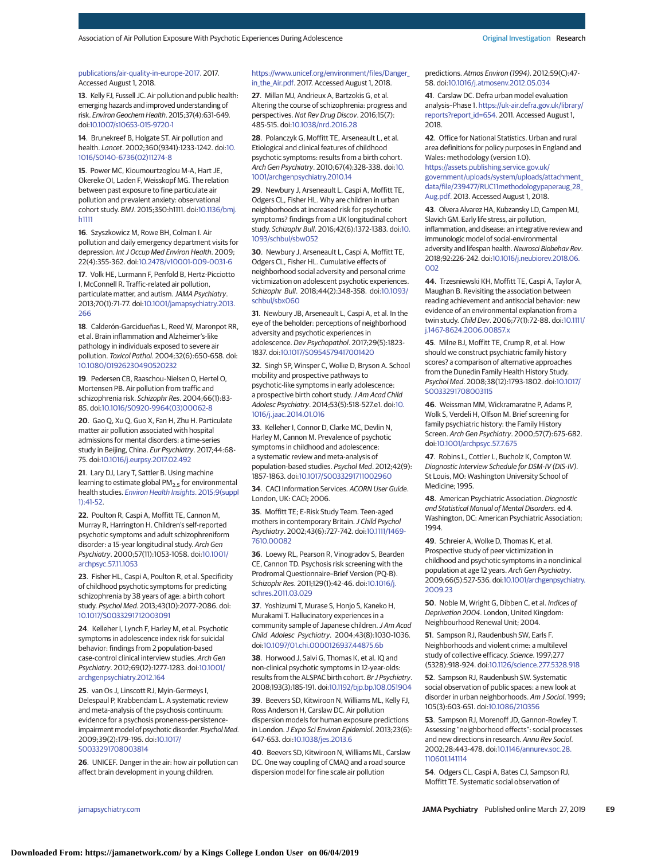### [publications/air-quality-in-europe-2017.](https://www.eea.europa.eu/publications/air-quality-in-europe-2017) 2017. Accessed August 1, 2018.

**13**. Kelly FJ, Fussell JC. Air pollution and public health: emerging hazards and improved understanding of risk. Environ Geochem Health. 2015;37(4):631-649. doi[:10.1007/s10653-015-9720-1](https://dx.doi.org/10.1007/s10653-015-9720-1)

**14**. Brunekreef B, Holgate ST. Air pollution and health. Lancet. 2002;360(9341):1233-1242. doi[:10.](https://dx.doi.org/10.1016/S0140-6736(02)11274-8) [1016/S0140-6736\(02\)11274-8](https://dx.doi.org/10.1016/S0140-6736(02)11274-8)

**15**. Power MC, Kioumourtzoglou M-A, Hart JE, Okereke OI, Laden F, Weisskopf MG. The relation between past exposure to fine particulate air pollution and prevalent anxiety: observational cohort study. BMJ. 2015;350:h1111. doi[:10.1136/bmj.](https://dx.doi.org/10.1136/bmj.h1111) [h1111](https://dx.doi.org/10.1136/bmj.h1111)

**16**. Szyszkowicz M, Rowe BH, Colman I. Air pollution and daily emergency department visits for depression. Int J Occup Med Environ Health. 2009; 22(4):355-362. doi[:10.2478/v10001-009-0031-6](https://dx.doi.org/10.2478/v10001-009-0031-6)

**17**. Volk HE, Lurmann F, Penfold B, Hertz-Picciotto I, McConnell R. Traffic-related air pollution, particulate matter, and autism. JAMA Psychiatry. 2013;70(1):71-77. doi[:10.1001/jamapsychiatry.2013.](https://jama.jamanetwork.com/article.aspx?doi=10.1001/jamapsychiatry.2013.266&utm_campaign=articlePDF%26utm_medium=articlePDFlink%26utm_source=articlePDF%26utm_content=jamapsychiatry.2019.0056) [266](https://jama.jamanetwork.com/article.aspx?doi=10.1001/jamapsychiatry.2013.266&utm_campaign=articlePDF%26utm_medium=articlePDFlink%26utm_source=articlePDF%26utm_content=jamapsychiatry.2019.0056)

**18**. Calderón-Garcidueñas L, Reed W, Maronpot RR, et al. Brain inflammation and Alzheimer's-like pathology in individuals exposed to severe air pollution. Toxicol Pathol. 2004;32(6):650-658. doi: [10.1080/01926230490520232](https://dx.doi.org/10.1080/01926230490520232)

**19**. Pedersen CB, Raaschou-Nielsen O, Hertel O, Mortensen PB. Air pollution from traffic and schizophrenia risk. Schizophr Res. 2004;66(1):83- 85. doi[:10.1016/S0920-9964\(03\)00062-8](https://dx.doi.org/10.1016/S0920-9964(03)00062-8)

**20**. Gao Q, Xu Q, Guo X, Fan H, Zhu H. Particulate matter air pollution associated with hospital admissions for mental disorders: a time-series study in Beijing, China. Eur Psychiatry. 2017;44:68- 75. doi[:10.1016/j.eurpsy.2017.02.492](https://dx.doi.org/10.1016/j.eurpsy.2017.02.492)

**21**. Lary DJ, Lary T, Sattler B. Using machine learning to estimate global  $PM<sub>2.5</sub>$  for environmental health studies. [Environ Health Insights](https://www.ncbi.nlm.nih.gov/pubmed/26005352). 2015;9(suppl [1\):41-52.](https://www.ncbi.nlm.nih.gov/pubmed/26005352)

**22**. Poulton R, Caspi A, Moffitt TE, Cannon M, Murray R, Harrington H. Children's self-reported psychotic symptoms and adult schizophreniform disorder: a 15-year longitudinal study. Arch Gen Psychiatry. 2000;57(11):1053-1058. doi[:10.1001/](https://jama.jamanetwork.com/article.aspx?doi=10.1001/archpsyc.57.11.1053&utm_campaign=articlePDF%26utm_medium=articlePDFlink%26utm_source=articlePDF%26utm_content=jamapsychiatry.2019.0056) [archpsyc.57.11.1053](https://jama.jamanetwork.com/article.aspx?doi=10.1001/archpsyc.57.11.1053&utm_campaign=articlePDF%26utm_medium=articlePDFlink%26utm_source=articlePDF%26utm_content=jamapsychiatry.2019.0056)

**23**. Fisher HL, Caspi A, Poulton R, et al. Specificity of childhood psychotic symptoms for predicting schizophrenia by 38 years of age: a birth cohort study. Psychol Med. 2013;43(10):2077-2086. doi: [10.1017/S0033291712003091](https://dx.doi.org/10.1017/S0033291712003091)

**24**. Kelleher I, Lynch F, Harley M, et al. Psychotic symptoms in adolescence index risk for suicidal behavior: findings from 2 population-based case-control clinical interview studies. Arch Gen Psychiatry. 2012;69(12):1277-1283. doi[:10.1001/](https://jama.jamanetwork.com/article.aspx?doi=10.1001/archgenpsychiatry.2012.164&utm_campaign=articlePDF%26utm_medium=articlePDFlink%26utm_source=articlePDF%26utm_content=jamapsychiatry.2019.0056) [archgenpsychiatry.2012.164](https://jama.jamanetwork.com/article.aspx?doi=10.1001/archgenpsychiatry.2012.164&utm_campaign=articlePDF%26utm_medium=articlePDFlink%26utm_source=articlePDF%26utm_content=jamapsychiatry.2019.0056)

**25**. van Os J, Linscott RJ, Myin-Germeys I, Delespaul P, Krabbendam L. A systematic review and meta-analysis of the psychosis continuum: evidence for a psychosis proneness-persistenceimpairment model of psychotic disorder. Psychol Med. 2009;39(2):179-195. doi[:10.1017/](https://dx.doi.org/10.1017/S0033291708003814) [S0033291708003814](https://dx.doi.org/10.1017/S0033291708003814)

**26**. UNICEF. Danger in the air: how air pollution can affect brain development in young children.

#### [https://www.unicef.org/environment/files/Danger\\_](https://www.unicef.org/environment/files/Danger_in_the_Air.pdf) [in\\_the\\_Air.pdf.](https://www.unicef.org/environment/files/Danger_in_the_Air.pdf) 2017. Accessed August 1, 2018.

**27**. Millan MJ, Andrieux A, Bartzokis G, et al. Altering the course of schizophrenia: progress and perspectives. Nat Rev Drug Discov. 2016;15(7): 485-515. doi[:10.1038/nrd.2016.28](https://dx.doi.org/10.1038/nrd.2016.28)

**28**. Polanczyk G, Moffitt TE, Arseneault L, et al. Etiological and clinical features of childhood psychotic symptoms: results from a birth cohort. Arch Gen Psychiatry. 2010;67(4):328-338. doi[:10.](https://jama.jamanetwork.com/article.aspx?doi=10.1001/archgenpsychiatry.2010.14&utm_campaign=articlePDF%26utm_medium=articlePDFlink%26utm_source=articlePDF%26utm_content=jamapsychiatry.2019.0056) [1001/archgenpsychiatry.2010.14](https://jama.jamanetwork.com/article.aspx?doi=10.1001/archgenpsychiatry.2010.14&utm_campaign=articlePDF%26utm_medium=articlePDFlink%26utm_source=articlePDF%26utm_content=jamapsychiatry.2019.0056)

**29**. Newbury J, Arseneault L, Caspi A, Moffitt TE, Odgers CL, Fisher HL. Why are children in urban neighborhoods at increased risk for psychotic symptoms? findings from a UK longitudinal cohort study. Schizophr Bull. 2016;42(6):1372-1383. doi[:10.](https://dx.doi.org/10.1093/schbul/sbw052) [1093/schbul/sbw052](https://dx.doi.org/10.1093/schbul/sbw052)

**30**. Newbury J, Arseneault L, Caspi A, Moffitt TE, Odgers CL, Fisher HL. Cumulative effects of neighborhood social adversity and personal crime victimization on adolescent psychotic experiences. Schizophr Bull. 2018;44(2):348-358. doi[:10.1093/](https://dx.doi.org/10.1093/schbul/sbx060) [schbul/sbx060](https://dx.doi.org/10.1093/schbul/sbx060)

**31**. Newbury JB, Arseneault L, Caspi A, et al. In the eye of the beholder: perceptions of neighborhood adversity and psychotic experiences in adolescence. Dev Psychopathol. 2017;29(5):1823- 1837. doi[:10.1017/S0954579417001420](https://dx.doi.org/10.1017/S0954579417001420)

**32**. Singh SP, Winsper C, Wolke D, Bryson A. School mobility and prospective pathways to psychotic-like symptoms in early adolescence: a prospective birth cohort study. J Am Acad Child Adolesc Psychiatry. 2014;53(5):518-527.e1. doi[:10.](https://dx.doi.org/10.1016/j.jaac.2014.01.016) [1016/j.jaac.2014.01.016](https://dx.doi.org/10.1016/j.jaac.2014.01.016)

**33**. Kelleher I, Connor D, Clarke MC, Devlin N, Harley M, Cannon M. Prevalence of psychotic symptoms in childhood and adolescence: a systematic review and meta-analysis of population-based studies. Psychol Med. 2012;42(9): 1857-1863. doi[:10.1017/S0033291711002960](https://dx.doi.org/10.1017/S0033291711002960)

**34**. CACI Information Services. ACORN User Guide. London, UK: CACI; 2006.

**35**. Moffitt TE; E-Risk Study Team. Teen-aged mothers in contemporary Britain. J Child Psychol Psychiatry. 2002;43(6):727-742. doi[:10.1111/1469-](https://dx.doi.org/10.1111/1469-7610.00082) [7610.00082](https://dx.doi.org/10.1111/1469-7610.00082)

**36**. Loewy RL, Pearson R, Vinogradov S, Bearden CE, Cannon TD. Psychosis risk screening with the Prodromal Questionnaire–Brief Version (PQ-B). Schizophr Res. 2011;129(1):42-46. doi[:10.1016/j.](https://dx.doi.org/10.1016/j.schres.2011.03.029) [schres.2011.03.029](https://dx.doi.org/10.1016/j.schres.2011.03.029)

**37**. Yoshizumi T, Murase S, Honjo S, Kaneko H, Murakami T. Hallucinatory experiences in a community sample of Japanese children. J Am Acad Child Adolesc Psychiatry. 2004;43(8):1030-1036. doi[:10.1097/01.chi.0000126937.44875.6b](https://dx.doi.org/10.1097/01.chi.0000126937.44875.6b)

**38**. Horwood J, Salvi G, Thomas K, et al. IQ and non-clinical psychotic symptoms in 12-year-olds: results from the ALSPAC birth cohort. Br J Psychiatry. 2008;193(3):185-191. doi[:10.1192/bjp.bp.108.051904](https://dx.doi.org/10.1192/bjp.bp.108.051904)

**39**. Beevers SD, Kitwiroon N, Williams ML, Kelly FJ, Ross Anderson H, Carslaw DC. Air pollution dispersion models for human exposure predictions in London. J Expo Sci Environ Epidemiol. 2013;23(6): 647-653. doi[:10.1038/jes.2013.6](https://dx.doi.org/10.1038/jes.2013.6)

**40**. Beevers SD, Kitwiroon N, Williams ML, Carslaw DC. One way coupling of CMAQ and a road source dispersion model for fine scale air pollution

predictions. Atmos Environ (1994). 2012;59(C):47- 58. doi[:10.1016/j.atmosenv.2012.05.034](https://dx.doi.org/10.1016/j.atmosenv.2012.05.034)

**41**. Carslaw DC. Defra urban model evaluation analysis–Phase 1. [https://uk-air.defra.gov.uk/library/](https://uk-air.defra.gov.uk/library/reports?report_id=654) [reports?report\\_id=654.](https://uk-air.defra.gov.uk/library/reports?report_id=654) 2011. Accessed August 1, 2018.

**42**. Office for National Statistics. Urban and rural area definitions for policy purposes in England and Wales: methodology (version 1.0). [https://assets.publishing.service.gov.uk/](https://assets.publishing.service.gov.uk/government/uploads/system/uploads/attachment_data/file/239477/RUC11methodologypaperaug_28_Aug.pdf) [government/uploads/system/uploads/attachment\\_](https://assets.publishing.service.gov.uk/government/uploads/system/uploads/attachment_data/file/239477/RUC11methodologypaperaug_28_Aug.pdf) [data/file/239477/RUC11methodologypaperaug\\_28\\_](https://assets.publishing.service.gov.uk/government/uploads/system/uploads/attachment_data/file/239477/RUC11methodologypaperaug_28_Aug.pdf) [Aug.pdf.](https://assets.publishing.service.gov.uk/government/uploads/system/uploads/attachment_data/file/239477/RUC11methodologypaperaug_28_Aug.pdf) 2013. Accessed August 1, 2018.

**43**. Olvera Alvarez HA, Kubzansky LD, Campen MJ, Slavich GM. Early life stress, air pollution, inflammation, and disease: an integrative review and immunologic model of social-environmental adversity and lifespan health. Neurosci Biobehav Rev. 2018;92:226-242. doi[:10.1016/j.neubiorev.2018.06.](https://dx.doi.org/10.1016/j.neubiorev.2018.06.002) [002](https://dx.doi.org/10.1016/j.neubiorev.2018.06.002)

**44**. Trzesniewski KH, Moffitt TE, Caspi A, Taylor A, Maughan B. Revisiting the association between reading achievement and antisocial behavior: new evidence of an environmental explanation from a twin study. Child Dev. 2006;77(1):72-88. doi[:10.1111/](https://dx.doi.org/10.1111/j.1467-8624.2006.00857.x) [j.1467-8624.2006.00857.x](https://dx.doi.org/10.1111/j.1467-8624.2006.00857.x)

**45**. Milne BJ, Moffitt TE, Crump R, et al. How should we construct psychiatric family history scores? a comparison of alternative approaches from the Dunedin Family Health History Study. Psychol Med. 2008;38(12):1793-1802. doi[:10.1017/](https://dx.doi.org/10.1017/S0033291708003115) [S0033291708003115](https://dx.doi.org/10.1017/S0033291708003115)

**46**. Weissman MM, Wickramaratne P, Adams P, Wolk S, Verdeli H, Olfson M. Brief screening for family psychiatric history: the Family History Screen. Arch Gen Psychiatry. 2000;57(7):675-682. doi[:10.1001/archpsyc.57.7.675](https://jama.jamanetwork.com/article.aspx?doi=10.1001/archpsyc.57.7.675&utm_campaign=articlePDF%26utm_medium=articlePDFlink%26utm_source=articlePDF%26utm_content=jamapsychiatry.2019.0056)

**47**. Robins L, Cottler L, Bucholz K, Compton W. Diagnostic Interview Schedule for DSM-IV (DIS-IV). St Louis, MO: Washington University School of Medicine; 1995.

**48**. American Psychiatric Association. Diagnostic and Statistical Manual of Mental Disorders. ed 4. Washington, DC: American Psychiatric Association; 1994.

**49**. Schreier A, Wolke D, Thomas K, et al. Prospective study of peer victimization in childhood and psychotic symptoms in a nonclinical population at age 12 years. Arch Gen Psychiatry. 2009;66(5):527-536. doi[:10.1001/archgenpsychiatry.](https://jama.jamanetwork.com/article.aspx?doi=10.1001/archgenpsychiatry.2009.23&utm_campaign=articlePDF%26utm_medium=articlePDFlink%26utm_source=articlePDF%26utm_content=jamapsychiatry.2019.0056) [2009.23](https://jama.jamanetwork.com/article.aspx?doi=10.1001/archgenpsychiatry.2009.23&utm_campaign=articlePDF%26utm_medium=articlePDFlink%26utm_source=articlePDF%26utm_content=jamapsychiatry.2019.0056)

**50**. Noble M, Wright G, Dibben C, et al. Indices of Deprivation 2004. London, United Kingdom: Neighbourhood Renewal Unit; 2004.

**51**. Sampson RJ, Raudenbush SW, Earls F. Neighborhoods and violent crime: a multilevel study of collective efficacy. Science. 1997;277 (5328):918-924. doi[:10.1126/science.277.5328.918](https://dx.doi.org/10.1126/science.277.5328.918)

**52**. Sampson RJ, Raudenbush SW. Systematic social observation of public spaces: a new look at disorder in urban neighborhoods. Am J Sociol. 1999; 105(3):603-651. doi[:10.1086/210356](https://dx.doi.org/10.1086/210356)

**53**. Sampson RJ, Morenoff JD, Gannon-Rowley T. Assessing "neighborhood effects": social processes and new directions in research. Annu Rev Sociol. 2002;28:443-478. doi[:10.1146/annurev.soc.28.](https://dx.doi.org/10.1146/annurev.soc.28.110601.141114) [110601.141114](https://dx.doi.org/10.1146/annurev.soc.28.110601.141114)

**54**. Odgers CL, Caspi A, Bates CJ, Sampson RJ, Moffitt TE. Systematic social observation of